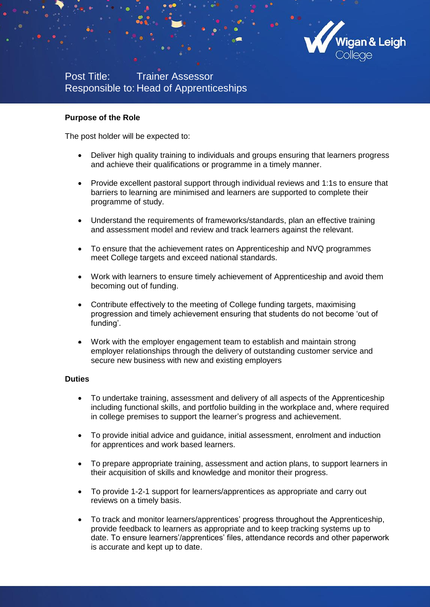

Post Title: Trainer Assessor Responsible to: Head of Apprenticeships

#### **Purpose of the Role**

The post holder will be expected to:

- Deliver high quality training to individuals and groups ensuring that learners progress and achieve their qualifications or programme in a timely manner.
- Provide excellent pastoral support through individual reviews and 1:1s to ensure that barriers to learning are minimised and learners are supported to complete their programme of study.
- Understand the requirements of frameworks/standards, plan an effective training and assessment model and review and track learners against the relevant.
- To ensure that the achievement rates on Apprenticeship and NVQ programmes meet College targets and exceed national standards.
- Work with learners to ensure timely achievement of Apprenticeship and avoid them becoming out of funding.
- Contribute effectively to the meeting of College funding targets, maximising progression and timely achievement ensuring that students do not become 'out of funding'.
- Work with the employer engagement team to establish and maintain strong employer relationships through the delivery of outstanding customer service and secure new business with new and existing employers

#### **Duties**

- To undertake training, assessment and delivery of all aspects of the Apprenticeship including functional skills, and portfolio building in the workplace and, where required in college premises to support the learner's progress and achievement.
- To provide initial advice and guidance, initial assessment, enrolment and induction for apprentices and work based learners.
- To prepare appropriate training, assessment and action plans, to support learners in their acquisition of skills and knowledge and monitor their progress.
- To provide 1-2-1 support for learners/apprentices as appropriate and carry out reviews on a timely basis.
- To track and monitor learners/apprentices' progress throughout the Apprenticeship, provide feedback to learners as appropriate and to keep tracking systems up to date. To ensure learners'/apprentices' files, attendance records and other paperwork is accurate and kept up to date.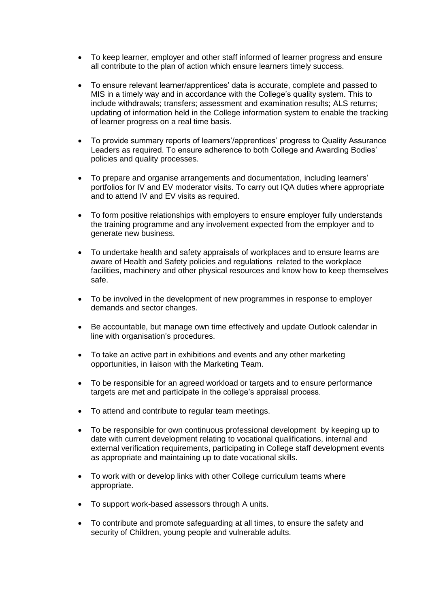- To keep learner, employer and other staff informed of learner progress and ensure all contribute to the plan of action which ensure learners timely success.
- To ensure relevant learner/apprentices' data is accurate, complete and passed to MIS in a timely way and in accordance with the College's quality system. This to include withdrawals; transfers; assessment and examination results; ALS returns; updating of information held in the College information system to enable the tracking of learner progress on a real time basis.
- To provide summary reports of learners'/apprentices' progress to Quality Assurance Leaders as required. To ensure adherence to both College and Awarding Bodies' policies and quality processes.
- To prepare and organise arrangements and documentation, including learners' portfolios for IV and EV moderator visits. To carry out IQA duties where appropriate and to attend IV and EV visits as required.
- To form positive relationships with employers to ensure employer fully understands the training programme and any involvement expected from the employer and to generate new business.
- To undertake health and safety appraisals of workplaces and to ensure learns are aware of Health and Safety policies and regulations related to the workplace facilities, machinery and other physical resources and know how to keep themselves safe.
- To be involved in the development of new programmes in response to employer demands and sector changes.
- Be accountable, but manage own time effectively and update Outlook calendar in line with organisation's procedures.
- To take an active part in exhibitions and events and any other marketing opportunities, in liaison with the Marketing Team.
- To be responsible for an agreed workload or targets and to ensure performance targets are met and participate in the college's appraisal process.
- To attend and contribute to regular team meetings.
- To be responsible for own continuous professional development by keeping up to date with current development relating to vocational qualifications, internal and external verification requirements, participating in College staff development events as appropriate and maintaining up to date vocational skills.
- To work with or develop links with other College curriculum teams where appropriate.
- To support work-based assessors through A units.
- To contribute and promote safeguarding at all times, to ensure the safety and security of Children, young people and vulnerable adults.